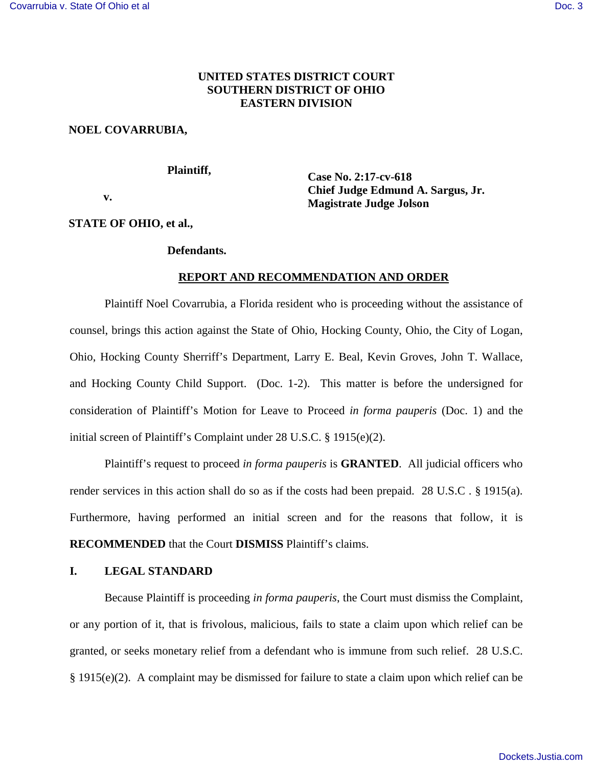# **UNITED STATES DISTRICT COURT SOUTHERN DISTRICT OF OHIO EASTERN DIVISION**

## **NOEL COVARRUBIA,**

 **Plaintiff,** 

 **v.** 

**Case No. 2:17-cv-618 Chief Judge Edmund A. Sargus, Jr. Magistrate Judge Jolson** 

## **STATE OF OHIO, et al.,**

### **Defendants.**

# **REPORT AND RECOMMENDATION AND ORDER**

Plaintiff Noel Covarrubia, a Florida resident who is proceeding without the assistance of counsel, brings this action against the State of Ohio, Hocking County, Ohio, the City of Logan, Ohio, Hocking County Sherriff's Department, Larry E. Beal, Kevin Groves, John T. Wallace, and Hocking County Child Support. (Doc. 1-2). This matter is before the undersigned for consideration of Plaintiff's Motion for Leave to Proceed *in forma pauperis* (Doc. 1) and the initial screen of Plaintiff's Complaint under 28 U.S.C. § 1915(e)(2).

Plaintiff's request to proceed *in forma pauperis* is **GRANTED**. All judicial officers who render services in this action shall do so as if the costs had been prepaid. 28 U.S.C . § 1915(a). Furthermore, having performed an initial screen and for the reasons that follow, it is **RECOMMENDED** that the Court **DISMISS** Plaintiff's claims.

## **I. LEGAL STANDARD**

Because Plaintiff is proceeding *in forma pauperis*, the Court must dismiss the Complaint, or any portion of it, that is frivolous, malicious, fails to state a claim upon which relief can be granted, or seeks monetary relief from a defendant who is immune from such relief. 28 U.S.C. § 1915(e)(2). A complaint may be dismissed for failure to state a claim upon which relief can be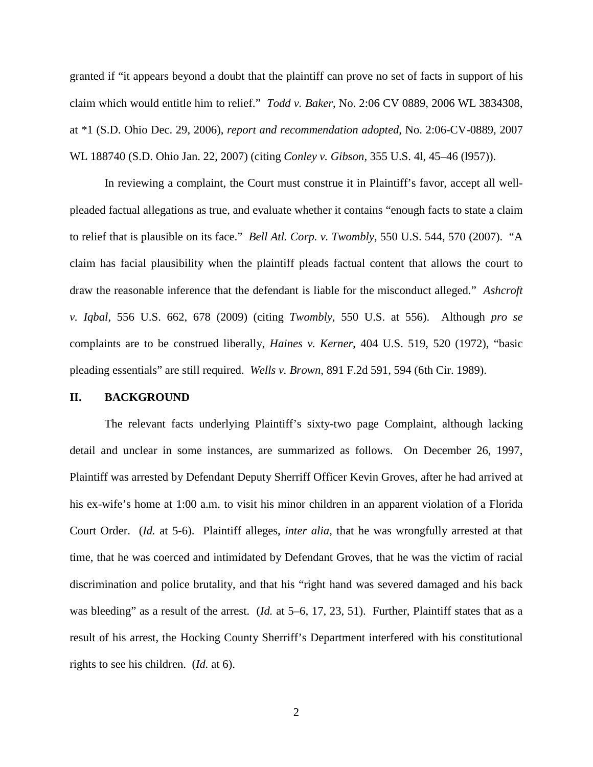granted if "it appears beyond a doubt that the plaintiff can prove no set of facts in support of his claim which would entitle him to relief." *Todd v. Baker*, No. 2:06 CV 0889, 2006 WL 3834308, at \*1 (S.D. Ohio Dec. 29, 2006), *report and recommendation adopted*, No. 2:06-CV-0889, 2007 WL 188740 (S.D. Ohio Jan. 22, 2007) (citing *Conley v. Gibson,* 355 U.S. 4l, 45–46 (l957)).

In reviewing a complaint, the Court must construe it in Plaintiff's favor, accept all wellpleaded factual allegations as true, and evaluate whether it contains "enough facts to state a claim to relief that is plausible on its face." *Bell Atl. Corp. v. Twombly*, 550 U.S. 544, 570 (2007). "A claim has facial plausibility when the plaintiff pleads factual content that allows the court to draw the reasonable inference that the defendant is liable for the misconduct alleged." *Ashcroft v. Iqbal*, 556 U.S. 662, 678 (2009) (citing *Twombly*, 550 U.S. at 556). Although *pro se* complaints are to be construed liberally, *Haines v. Kerner*, 404 U.S. 519, 520 (1972), "basic pleading essentials" are still required. *Wells v. Brown*, 891 F.2d 591, 594 (6th Cir. 1989).

#### **II. BACKGROUND**

The relevant facts underlying Plaintiff's sixty-two page Complaint, although lacking detail and unclear in some instances, are summarized as follows. On December 26, 1997, Plaintiff was arrested by Defendant Deputy Sherriff Officer Kevin Groves, after he had arrived at his ex-wife's home at 1:00 a.m. to visit his minor children in an apparent violation of a Florida Court Order. (*Id.* at 5-6). Plaintiff alleges, *inter alia*, that he was wrongfully arrested at that time, that he was coerced and intimidated by Defendant Groves, that he was the victim of racial discrimination and police brutality, and that his "right hand was severed damaged and his back was bleeding" as a result of the arrest. (*Id.* at 5–6, 17, 23, 51). Further, Plaintiff states that as a result of his arrest, the Hocking County Sherriff's Department interfered with his constitutional rights to see his children. (*Id.* at 6).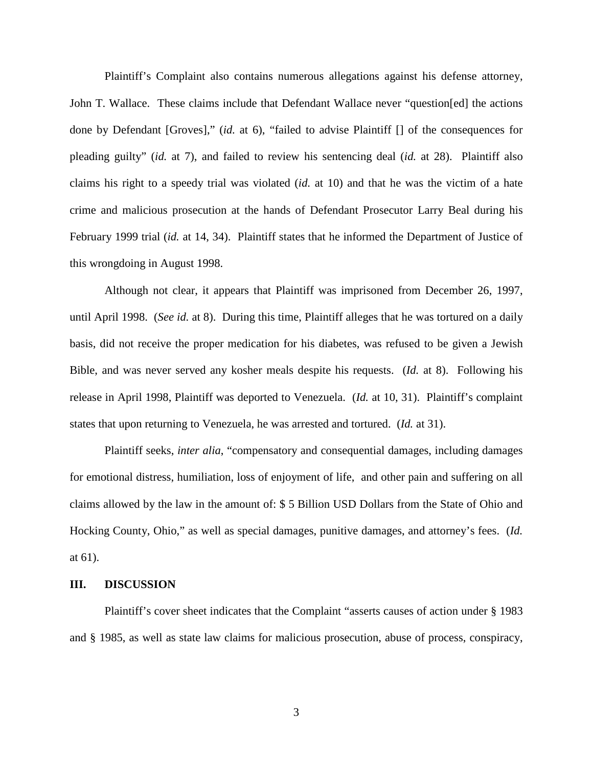Plaintiff's Complaint also contains numerous allegations against his defense attorney, John T. Wallace. These claims include that Defendant Wallace never "question[ed] the actions done by Defendant [Groves]," (*id.* at 6), "failed to advise Plaintiff [] of the consequences for pleading guilty" (*id.* at 7), and failed to review his sentencing deal (*id.* at 28). Plaintiff also claims his right to a speedy trial was violated (*id.* at 10) and that he was the victim of a hate crime and malicious prosecution at the hands of Defendant Prosecutor Larry Beal during his February 1999 trial (*id.* at 14, 34). Plaintiff states that he informed the Department of Justice of this wrongdoing in August 1998.

Although not clear, it appears that Plaintiff was imprisoned from December 26, 1997, until April 1998. (*See id.* at 8). During this time, Plaintiff alleges that he was tortured on a daily basis, did not receive the proper medication for his diabetes, was refused to be given a Jewish Bible, and was never served any kosher meals despite his requests. (*Id.* at 8). Following his release in April 1998, Plaintiff was deported to Venezuela. (*Id.* at 10, 31). Plaintiff's complaint states that upon returning to Venezuela, he was arrested and tortured. (*Id.* at 31).

Plaintiff seeks, *inter alia*, "compensatory and consequential damages, including damages for emotional distress, humiliation, loss of enjoyment of life, and other pain and suffering on all claims allowed by the law in the amount of: \$ 5 Billion USD Dollars from the State of Ohio and Hocking County, Ohio," as well as special damages, punitive damages, and attorney's fees. (*Id.*  at 61).

#### **III. DISCUSSION**

Plaintiff's cover sheet indicates that the Complaint "asserts causes of action under § 1983 and § 1985, as well as state law claims for malicious prosecution, abuse of process, conspiracy,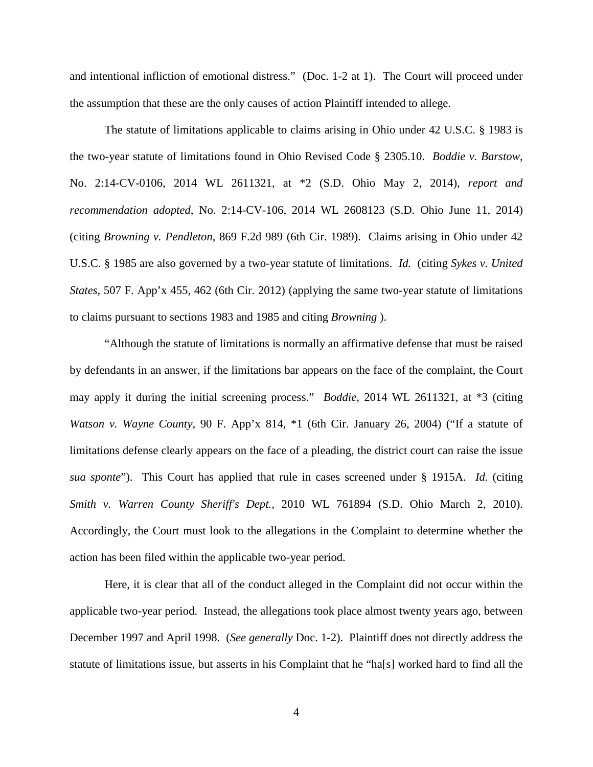and intentional infliction of emotional distress." (Doc. 1-2 at 1). The Court will proceed under the assumption that these are the only causes of action Plaintiff intended to allege.

The statute of limitations applicable to claims arising in Ohio under 42 U.S.C. § 1983 is the two-year statute of limitations found in Ohio Revised Code § 2305.10. *Boddie v. Barstow*, No. 2:14-CV-0106, 2014 WL 2611321, at \*2 (S.D. Ohio May 2, 2014), *report and recommendation adopted*, No. 2:14-CV-106, 2014 WL 2608123 (S.D. Ohio June 11, 2014) (citing *Browning v. Pendleton,* 869 F.2d 989 (6th Cir. 1989). Claims arising in Ohio under 42 U.S.C. § 1985 are also governed by a two-year statute of limitations. *Id.* (citing *Sykes v. United States,* 507 F. App'x 455, 462 (6th Cir. 2012) (applying the same two-year statute of limitations to claims pursuant to sections 1983 and 1985 and citing *Browning* ).

"Although the statute of limitations is normally an affirmative defense that must be raised by defendants in an answer, if the limitations bar appears on the face of the complaint, the Court may apply it during the initial screening process." *Boddie*, 2014 WL 2611321, at \*3 (citing *Watson v. Wayne County,* 90 F. App'x 814, \*1 (6th Cir. January 26, 2004) ("If a statute of limitations defense clearly appears on the face of a pleading, the district court can raise the issue *sua sponte*"). This Court has applied that rule in cases screened under § 1915A. *Id.* (citing *Smith v. Warren County Sheriff's Dept.,* 2010 WL 761894 (S.D. Ohio March 2, 2010). Accordingly, the Court must look to the allegations in the Complaint to determine whether the action has been filed within the applicable two-year period.

Here, it is clear that all of the conduct alleged in the Complaint did not occur within the applicable two-year period. Instead, the allegations took place almost twenty years ago, between December 1997 and April 1998. (*See generally* Doc. 1-2). Plaintiff does not directly address the statute of limitations issue, but asserts in his Complaint that he "ha[s] worked hard to find all the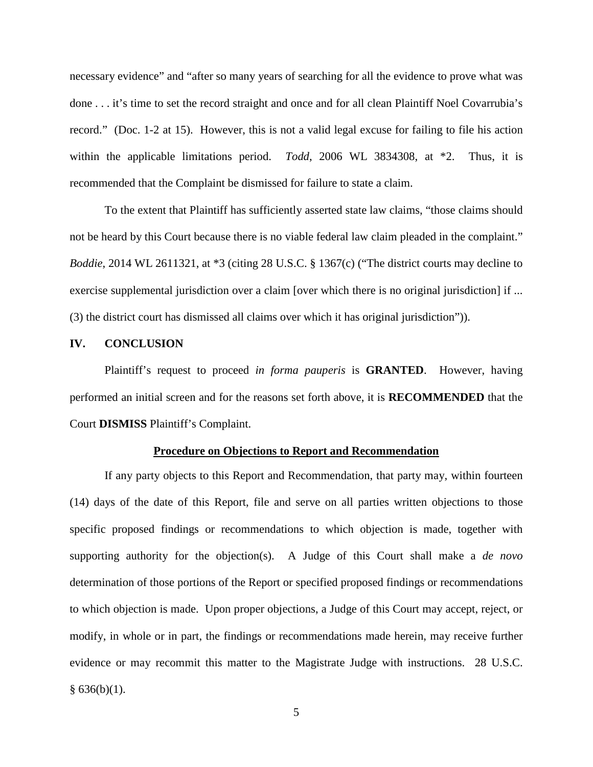necessary evidence" and "after so many years of searching for all the evidence to prove what was done . . . it's time to set the record straight and once and for all clean Plaintiff Noel Covarrubia's record." (Doc. 1-2 at 15). However, this is not a valid legal excuse for failing to file his action within the applicable limitations period. *Todd*, 2006 WL 3834308, at \*2. Thus, it is recommended that the Complaint be dismissed for failure to state a claim.

To the extent that Plaintiff has sufficiently asserted state law claims, "those claims should not be heard by this Court because there is no viable federal law claim pleaded in the complaint." *Boddie*, 2014 WL 2611321, at \*3 (citing 28 U.S.C. § 1367(c) ("The district courts may decline to exercise supplemental jurisdiction over a claim [over which there is no original jurisdiction] if ... (3) the district court has dismissed all claims over which it has original jurisdiction")).

### **IV. CONCLUSION**

Plaintiff's request to proceed *in forma pauperis* is **GRANTED**. However, having performed an initial screen and for the reasons set forth above, it is **RECOMMENDED** that the Court **DISMISS** Plaintiff's Complaint.

#### **Procedure on Objections to Report and Recommendation**

If any party objects to this Report and Recommendation, that party may, within fourteen (14) days of the date of this Report, file and serve on all parties written objections to those specific proposed findings or recommendations to which objection is made, together with supporting authority for the objection(s). A Judge of this Court shall make a *de novo* determination of those portions of the Report or specified proposed findings or recommendations to which objection is made. Upon proper objections, a Judge of this Court may accept, reject, or modify, in whole or in part, the findings or recommendations made herein, may receive further evidence or may recommit this matter to the Magistrate Judge with instructions. 28 U.S.C.  $§ 636(b)(1).$